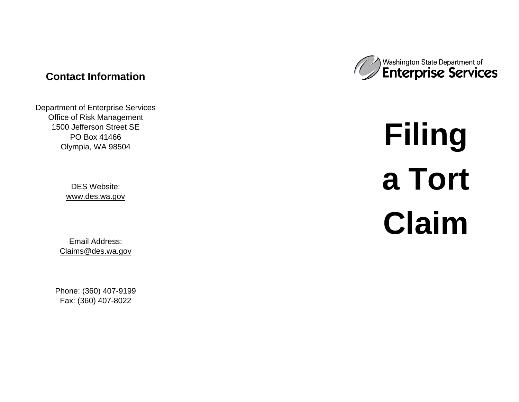# **Contact Information**

Department of Enterprise Services Office of Risk Management 1500 Jefferson Street SE PO Box 41466 Olympia, WA 98504

> DES Website: [www.des.wa.gov](http://www.des.wa.gov/)

Email Address: [Claims@des.wa.gov](mailto:Claims@des.wa.gov)

Phone: (360) 407 -9199 Fax: (360) 407 -8022



# **Filing a Tort Claim**